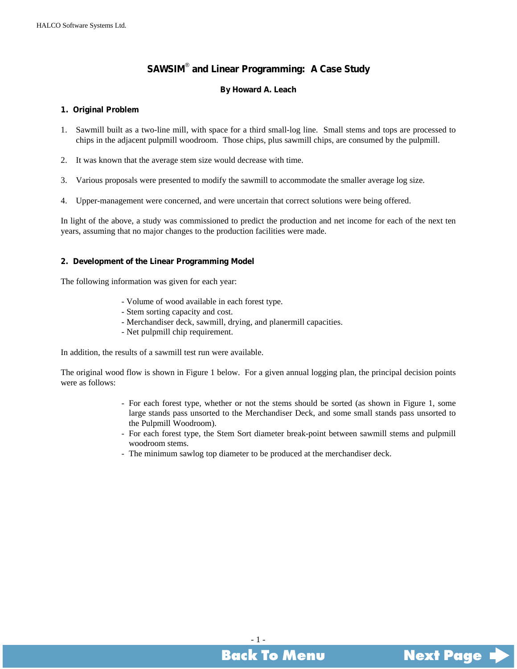### **SAWSIM**®  **and Linear Programming: A Case Study**

### **By Howard A. Leach**

### <span id="page-0-0"></span>**1. Original Problem**

- 1. Sawmill built as a two-line mill, with space for a third small-log line. Small stems and tops are processed to chips in the adjacent pulpmill woodroom. Those chips, plus sawmill chips, are consumed by the pulpmill.
- 2. It was known that the average stem size would decrease with time.
- 3. Various proposals were presented to modify the sawmill to accommodate the smaller average log size.
- 4. Upper-management were concerned, and were uncertain that correct solutions were being offered.

In light of the above, a study was commissioned to predict the production and net income for each of the next ten years, assuming that no major changes to the production facilities were made.

### **2. Development of the Linear Programming Model**

The following information was given for each year:

- Volume of wood available in each forest type.
- Stem sorting capacity and cost.
- Merchandiser deck, sawmill, drying, and planermill capacities.
- Net pulpmill chip requirement.

In addition, the results of a sawmill test run were available.

The original wood flow is shown in Figure 1 below. For a given annual logging plan, the principal decision points were as follows:

- For each forest type, whether or not the stems should be sorted (as shown in Figure 1, some large stands pass unsorted to the Merchandiser Deck, and some small stands pass unsorted to the Pulpmill Woodroom).
- For each forest type, the Stem Sort diameter break-point between sawmill stems and pulpmill woodroom stems.
- The minimum sawlog top diameter to be produced at the merchandiser deck.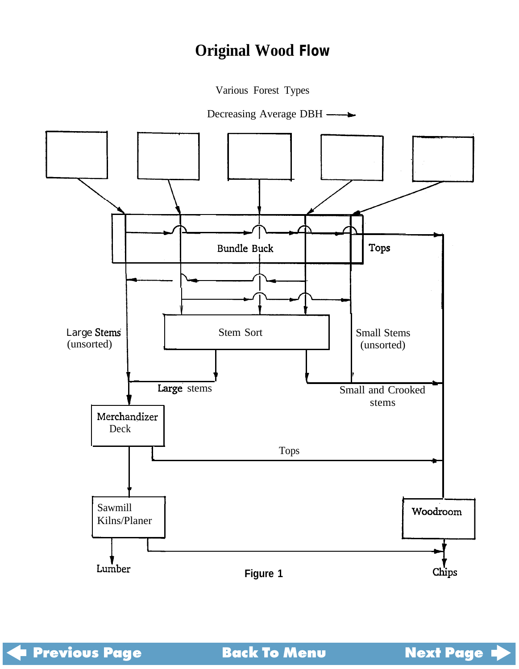# **Original Wood Flow**

Various Forest Types

Decreasing Average DBH —

<span id="page-1-0"></span>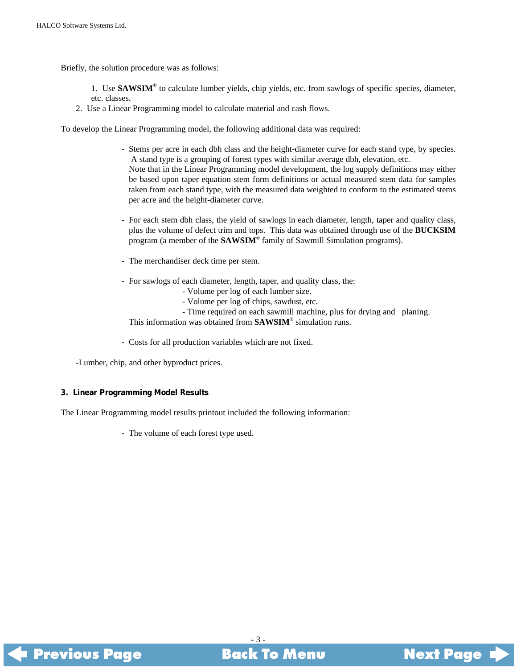<span id="page-2-0"></span>Briefly, the solution procedure was as follows:

1. Use **SAWSIM**® to calculate lumber yields, chip yields, etc. from sawlogs of specific species, diameter, etc. classes.

2. Use a Linear Programming model to calculate material and cash flows.

To develop the Linear Programming model, the following additional data was required:

- Stems per acre in each dbh class and the height-diameter curve for each stand type, by species. A stand type is a grouping of forest types with similar average dbh, elevation, etc. Note that in the Linear Programming model development, the log supply definitions may either be based upon taper equation stem form definitions or actual measured stem data for samples taken from each stand type, with the measured data weighted to conform to the estimated stems per acre and the height-diameter curve.
- For each stem dbh class, the yield of sawlogs in each diameter, length, taper and quality class, plus the volume of defect trim and tops. This data was obtained through use of the **BUCKSIM** program (a member of the **SAWSIM**® family of Sawmill Simulation programs).
- The merchandiser deck time per stem.
- For sawlogs of each diameter, length, taper, and quality class, the:
	- Volume per log of each lumber size.
	- Volume per log of chips, sawdust, etc.
	- Time required on each sawmill machine, plus for drying and planing.

This information was obtained from **SAWSIM**® simulation runs.

- Costs for all production variables which are not fixed.

-Lumber, chip, and other byproduct prices.

#### **3. Linear Programming Model Results**

The Linear Programming model results printout included the following information:

- The volume of each forest type used.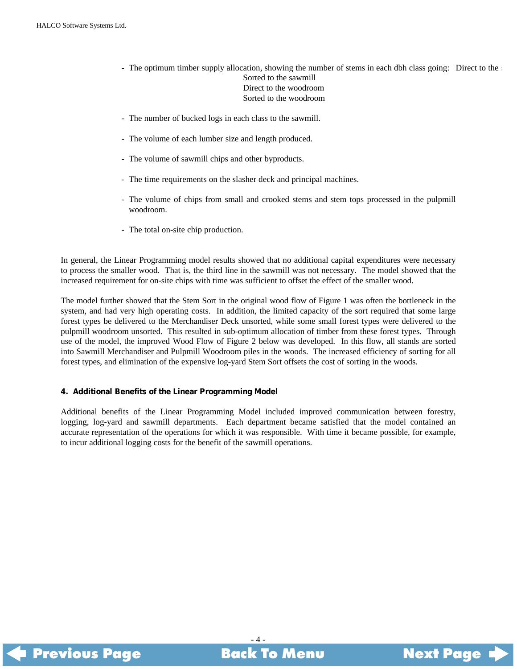- <span id="page-3-0"></span>- The optimum timber supply allocation, showing the number of stems in each dbh class going: Direct to the  $\epsilon$ Sorted to the sawmill Direct to the woodroom Sorted to the woodroom
- The number of bucked logs in each class to the sawmill.
- The volume of each lumber size and length produced.
- The volume of sawmill chips and other byproducts.
- The time requirements on the slasher deck and principal machines.
- The volume of chips from small and crooked stems and stem tops processed in the pulpmill woodroom.
- The total on-site chip production.

In general, the Linear Programming model results showed that no additional capital expenditures were necessary to process the smaller wood. That is, the third line in the sawmill was not necessary. The model showed that the increased requirement for on-site chips with time was sufficient to offset the effect of the smaller wood.

The model further showed that the Stem Sort in the original wood flow of Figure 1 was often the bottleneck in the system, and had very high operating costs. In addition, the limited capacity of the sort required that some large forest types be delivered to the Merchandiser Deck unsorted, while some small forest types were delivered to the pulpmill woodroom unsorted. This resulted in sub-optimum allocation of timber from these forest types. Through use of the model, the improved Wood Flow of Figure 2 below was developed. In this flow, all stands are sorted into Sawmill Merchandiser and Pulpmill Woodroom piles in the woods. The increased efficiency of sorting for all forest types, and elimination of the expensive log-yard Stem Sort offsets the cost of sorting in the woods.

### **4. Additional Benefits of the Linear Programming Model**

Additional benefits of the Linear Programming Model included improved communication between forestry, logging, log-yard and sawmill departments. Each department became satisfied that the model contained an accurate representation of the operations for which it was responsible. With time it became possible, for example, to incur additional logging costs for the benefit of the sawmill operations.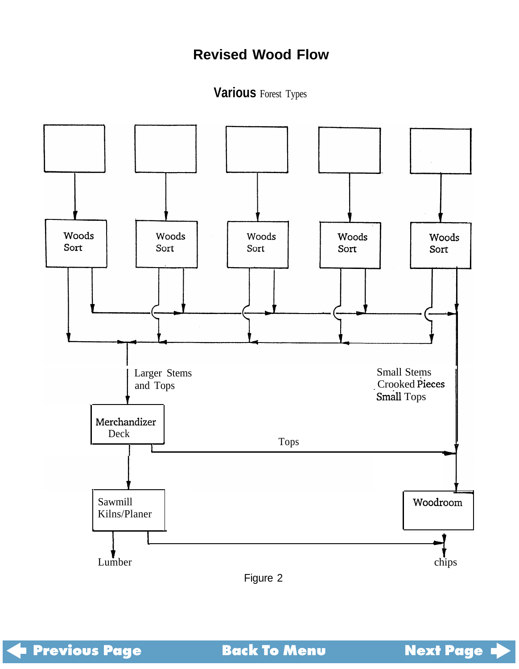## **Revised Wood Flow**

**Various** Forest Types

<span id="page-4-0"></span>